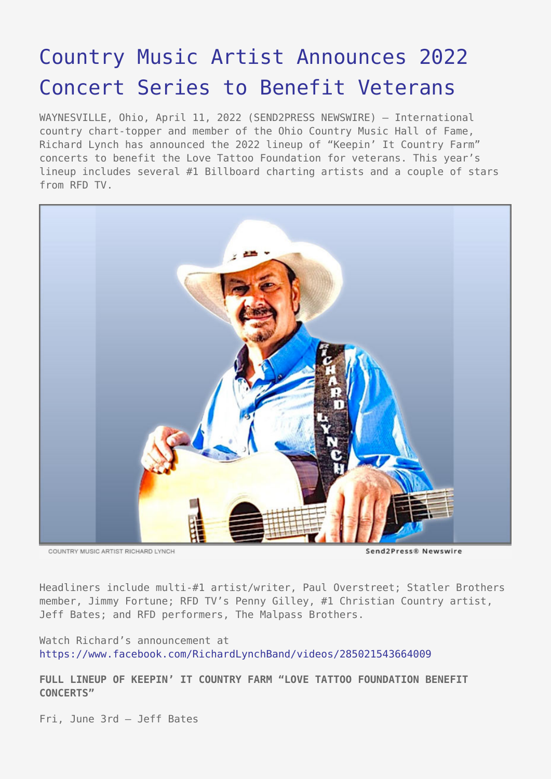## [Country Music Artist Announces 2022](https://www.send2press.com/wire/country-music-artist-announces-2022-concert-series-to-benefit-veterans/) [Concert Series to Benefit Veterans](https://www.send2press.com/wire/country-music-artist-announces-2022-concert-series-to-benefit-veterans/)

WAYNESVILLE, Ohio, April 11, 2022 (SEND2PRESS NEWSWIRE) — International country chart-topper and member of the Ohio Country Music Hall of Fame, Richard Lynch has announced the 2022 lineup of "Keepin' It Country Farm" concerts to benefit the Love Tattoo Foundation for veterans. This year's lineup includes several #1 Billboard charting artists and a couple of stars from RFD TV.



COUNTRY MUSIC ARTIST RICHARD LYNCH

Send2Press® Newswire

Headliners include multi-#1 artist/writer, Paul Overstreet; Statler Brothers member, Jimmy Fortune; RFD TV's Penny Gilley, #1 Christian Country artist, Jeff Bates; and RFD performers, The Malpass Brothers.

Watch Richard's announcement at <https://www.facebook.com/RichardLynchBand/videos/285021543664009>

**FULL LINEUP OF KEEPIN' IT COUNTRY FARM "LOVE TATTOO FOUNDATION BENEFIT CONCERTS"**

Fri, June 3rd – Jeff Bates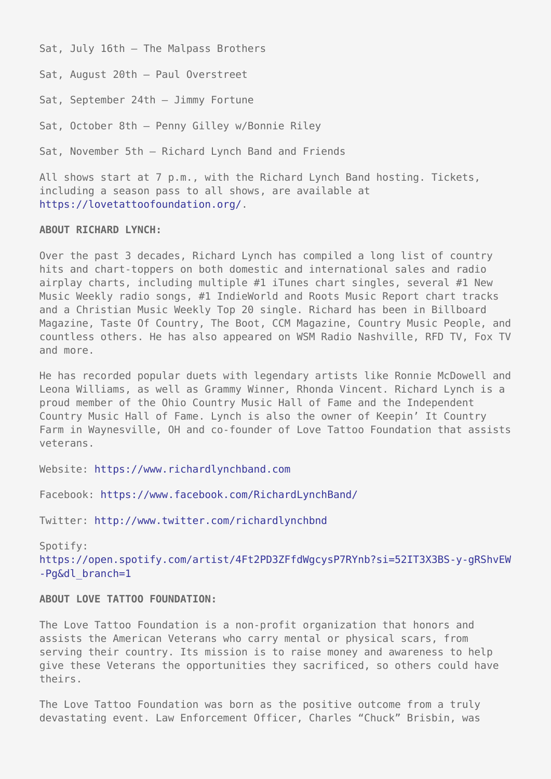Sat, July 16th – The Malpass Brothers

Sat, August 20th – Paul Overstreet

Sat, September 24th – Jimmy Fortune

Sat, October 8th – Penny Gilley w/Bonnie Riley

Sat, November 5th – Richard Lynch Band and Friends

All shows start at 7 p.m., with the Richard Lynch Band hosting. Tickets, including a season pass to all shows, are available at <https://lovetattoofoundation.org/>.

## **ABOUT RICHARD LYNCH:**

Over the past 3 decades, Richard Lynch has compiled a long list of country hits and chart-toppers on both domestic and international sales and radio airplay charts, including multiple #1 iTunes chart singles, several #1 New Music Weekly radio songs, #1 IndieWorld and Roots Music Report chart tracks and a Christian Music Weekly Top 20 single. Richard has been in Billboard Magazine, Taste Of Country, The Boot, CCM Magazine, Country Music People, and countless others. He has also appeared on WSM Radio Nashville, RFD TV, Fox TV and more.

He has recorded popular duets with legendary artists like Ronnie McDowell and Leona Williams, as well as Grammy Winner, Rhonda Vincent. Richard Lynch is a proud member of the Ohio Country Music Hall of Fame and the Independent Country Music Hall of Fame. Lynch is also the owner of Keepin' It Country Farm in Waynesville, OH and co-founder of Love Tattoo Foundation that assists veterans.

Website: [https://www.richardlynchband.com](https://www.richardlynchband.com/)

Facebook: <https://www.facebook.com/RichardLynchBand/>

Twitter:<http://www.twitter.com/richardlynchbnd>

Spotify: [https://open.spotify.com/artist/4Ft2PD3ZFfdWgcysP7RYnb?si=52IT3X3BS-y-gRShvEW](https://open.spotify.com/artist/4Ft2PD3ZFfdWgcysP7RYnb?si=52IT3X3BS-y-gRShvEW-Pg&dl_branch=1) [-Pg&dl\\_branch=1](https://open.spotify.com/artist/4Ft2PD3ZFfdWgcysP7RYnb?si=52IT3X3BS-y-gRShvEW-Pg&dl_branch=1)

## **ABOUT LOVE TATTOO FOUNDATION:**

The Love Tattoo Foundation is a non-profit organization that honors and assists the American Veterans who carry mental or physical scars, from serving their country. Its mission is to raise money and awareness to help give these Veterans the opportunities they sacrificed, so others could have theirs.

The Love Tattoo Foundation was born as the positive outcome from a truly devastating event. Law Enforcement Officer, Charles "Chuck" Brisbin, was